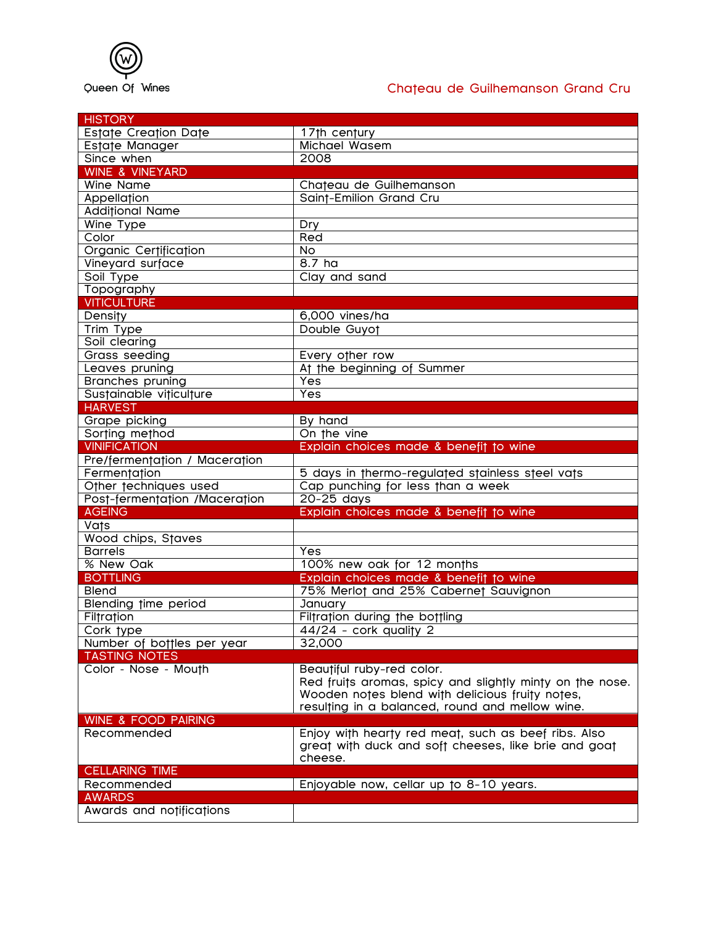

## Queen Of Wines **Chateau de Guilhemanson Grand Cru**

| <b>HISTORY</b>                 |                                                          |
|--------------------------------|----------------------------------------------------------|
| <b>Estate Creation Date</b>    | 17th century                                             |
| Estate Manager                 | Michael Wasem                                            |
| Since when                     | 2008                                                     |
| <b>WINE &amp; VINEYARD</b>     |                                                          |
| <b>Wine Name</b>               | Chateau de Guilhemanson                                  |
| Appellation                    | Saint-Emilion Grand Cru                                  |
| <b>Additional Name</b>         |                                                          |
| Wine Type                      | Dry                                                      |
| Color                          | Red                                                      |
| Organic Certification          | <b>No</b>                                                |
| Vineyard surface               | 8.7 ha                                                   |
| Soil Type                      | Clay and sand                                            |
| Topography                     |                                                          |
| <b>VITICULTURE</b>             |                                                          |
| <b>Density</b>                 | 6,000 vines/ha                                           |
| Trim Type                      | Double Guyot                                             |
| Soil clearing                  |                                                          |
| Grass seeding                  | Every other row                                          |
| Leaves pruning                 | At the beginning of Summer                               |
| <b>Branches pruning</b>        | Yes                                                      |
| Sustainable viticulture        | Yes                                                      |
| <b>HARVEST</b>                 |                                                          |
| Grape picking                  | By hand                                                  |
| Sorting method                 | On the vine                                              |
| <b>VINIFICATION</b>            | Explain choices made & benefit to wine                   |
| Pre/fermentation / Maceration  |                                                          |
| Fermentation                   | 5 days in thermo-regulated stainless steel vats          |
| Other techniques used          | Cap punching for less than a week                        |
| Post-fermentation /Maceration  | 20-25 days                                               |
| <b>AGEING</b>                  | Explain choices made & benefit to wine                   |
| Vats                           |                                                          |
| <b>Wood chips, Staves</b>      |                                                          |
| <b>Barrels</b>                 | Yes                                                      |
| % New Oak                      | 100% new oak for 12 months                               |
| <b>BOTTLING</b>                | Explain choices made & benefit to wine                   |
| <b>Blend</b>                   | 75% Merlot and 25% Cabernet Sauvignon                    |
| Blending time period           | January                                                  |
| Filtration                     | Filtration during the bottling                           |
| Cork type                      | 44/24 - cork quality 2                                   |
| Number of bottles per year     | 32,000                                                   |
| <b>TASTING NOTES</b>           |                                                          |
| Color - Nose - Mouth           | Beautiful ruby-red color.                                |
|                                | Red fruits aromas, spicy and slightly minty on the nose. |
|                                | Wooden notes blend with delicious fruity notes,          |
|                                | resulting in a balanced, round and mellow wine.          |
| <b>WINE &amp; FOOD PAIRING</b> |                                                          |
| Recommended                    | Enjoy with hearty red meat, such as beef ribs. Also      |
|                                | great with duck and soft cheeses, like brie and goat     |
|                                | cheese.                                                  |
| <b>CELLARING TIME</b>          |                                                          |
| Recommended                    | Enjoyable now, cellar up to 8-10 years.                  |
| <b>AWARDS</b>                  |                                                          |
| Awards and notifications       |                                                          |